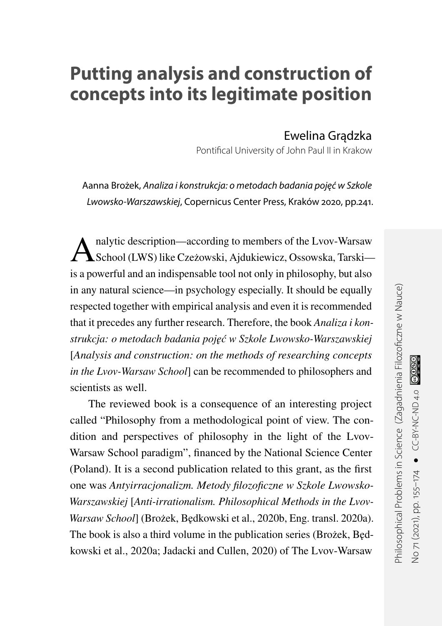## **Putting analysis and construction of concepts into its legitimate position**

Ewelina Gradzka

Pontifical University of John Paul II in Krakow

Aanna Brożek, Analiza i konstrukcja: o metodach badania pojęć w Szkole Lwowsko-Warszawskiej, Copernicus Center Press, Kraków 2020, pp.241.

A nalytic description—according to members of the Lvov-Warsaw School (LWS) like Czeżowski, Ajdukiewicz, Ossowska, Tarskiis a powerful and an indispensable tool not only in philosophy, but also in any natural science—in psychology especially. It should be equally respected together with empirical analysis and even it is recommended that it precedes any further research. Therefore, the book *Analiza i konstrukcja: o metodach badania poj˛e´c w Szkole Lwowsko-Warszawskiej* [*Analysis and construction: on the methods of researching concepts in the Lvov-Warsaw School*] can be recommended to philosophers and scientists as well.

The reviewed book is a consequence of an interesting project called "Philosophy from a methodological point of view. The condition and perspectives of philosophy in the light of the Lvov-Warsaw School paradigm", financed by the National Science Center (Poland). It is a second publication related to this grant, as the first one was *Antyirracjonalizm. Metody filozoficzne w Szkole Lwowsko-Warszawskiej* [*Anti-irrationalism. Philosophical Methods in the Lvov-Warsaw School*] (Brożek, Będkowski et al., [2020b,](#page-16-0) Eng. transl. [2020a\)](#page-15-0). The book is also a third volume in the publication series (Brożek, Bedkowski et al., [2020a;](#page-15-0) Jadacki and Cullen, [2020\)](#page-17-0) of The Lvov-Warsaw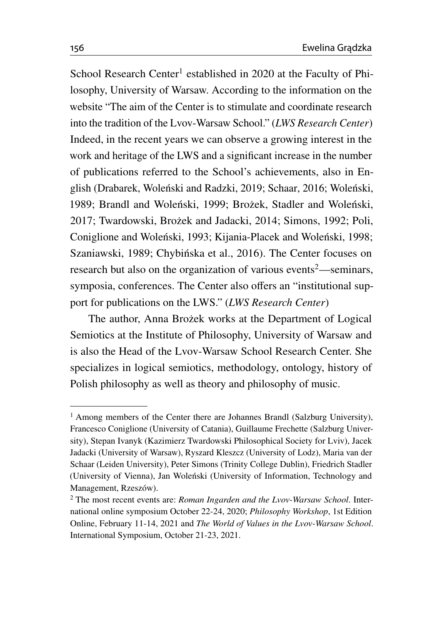School Research Center<sup>[1](#page-1-0)</sup> established in 2020 at the Faculty of Philosophy, University of Warsaw. According to the information on the website "The aim of the Center is to stimulate and coordinate research into the tradition of the Lvov-Warsaw School." (*[LWS Research Center](#page-17-1)*) Indeed, in the recent years we can observe a growing interest in the work and heritage of the LWS and a significant increase in the number of publications referred to the School's achievements, also in En-glish (Drabarek, Woleński and Radzki, [2019;](#page-16-1) Schaar, [2016;](#page-18-0) Woleński, [1989;](#page-19-0) Brandl and Woleński, [1999;](#page-15-1) Brożek, Stadler and Woleński, [2017;](#page-16-2) Twardowski, Brożek and Jadacki, [2014;](#page-18-1) Simons, [1992;](#page-18-2) Poli, Coniglione and Wolenski, [1993;](#page-18-3) Kijania-Placek and Wolenski, [1998;](#page-17-2) Szaniawski, [1989;](#page-18-4) Chybińska et al., [2016\)](#page-16-3). The Center focuses on research but also on the organization of various events<sup>[2](#page-1-1)</sup>—seminars, symposia, conferences. The Center also offers an "institutional support for publications on the LWS." (*[LWS Research Center](#page-17-1)*)

The author, Anna Brożek works at the Department of Logical Semiotics at the Institute of Philosophy, University of Warsaw and is also the Head of the Lvov-Warsaw School Research Center. She specializes in logical semiotics, methodology, ontology, history of Polish philosophy as well as theory and philosophy of music.

<span id="page-1-0"></span><sup>&</sup>lt;sup>1</sup> Among members of the Center there are Johannes Brandl (Salzburg University), Francesco Coniglione (University of Catania), Guillaume Frechette (Salzburg University), Stepan Ivanyk (Kazimierz Twardowski Philosophical Society for Lviv), Jacek Jadacki (University of Warsaw), Ryszard Kleszcz (University of Lodz), Maria van der Schaar (Leiden University), Peter Simons (Trinity College Dublin), Friedrich Stadler (University of Vienna), Jan Wolenski (University of Information, Technology and ´ Management, Rzeszów).

<span id="page-1-1"></span><sup>2</sup> The most recent events are: *Roman Ingarden and the Lvov-Warsaw School*. International online symposium October 22-24, 2020; *Philosophy Workshop*, 1st Edition Online, February 11-14, 2021 and *The World of Values in the Lvov-Warsaw School*. International Symposium, October 21-23, 2021.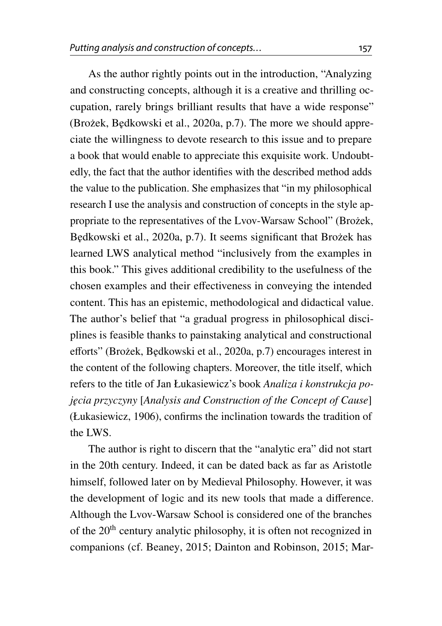As the author rightly points out in the introduction, "Analyzing and constructing concepts, although it is a creative and thrilling occupation, rarely brings brilliant results that have a wide response" (Brożek, Będkowski et al., [2020a,](#page-15-0) p.7). The more we should appreciate the willingness to devote research to this issue and to prepare a book that would enable to appreciate this exquisite work. Undoubtedly, the fact that the author identifies with the described method adds the value to the publication. She emphasizes that "in my philosophical research I use the analysis and construction of concepts in the style appropriate to the representatives of the Lvov-Warsaw School" (Brożek, Będkowski et al., [2020a,](#page-15-0) p.7). It seems significant that Brożek has learned LWS analytical method "inclusively from the examples in this book." This gives additional credibility to the usefulness of the chosen examples and their effectiveness in conveying the intended content. This has an epistemic, methodological and didactical value. The author's belief that "a gradual progress in philosophical disciplines is feasible thanks to painstaking analytical and constructional efforts" (Brożek, Będkowski et al., [2020a,](#page-15-0) p.7) encourages interest in the content of the following chapters. Moreover, the title itself, which refers to the title of Jan Łukasiewicz's book *Analiza i konstrukcja poj˛ecia przyczyny* [*Analysis and Construction of the Concept of Cause*] (Łukasiewicz, [1906\)](#page-17-3), confirms the inclination towards the tradition of the LWS.

The author is right to discern that the "analytic era" did not start in the 20th century. Indeed, it can be dated back as far as Aristotle himself, followed later on by Medieval Philosophy. However, it was the development of logic and its new tools that made a difference. Although the Lvov-Warsaw School is considered one of the branches of the 20th century analytic philosophy, it is often not recognized in companions (cf. Beaney, [2015;](#page-15-2) Dainton and Robinson, [2015;](#page-16-4) Mar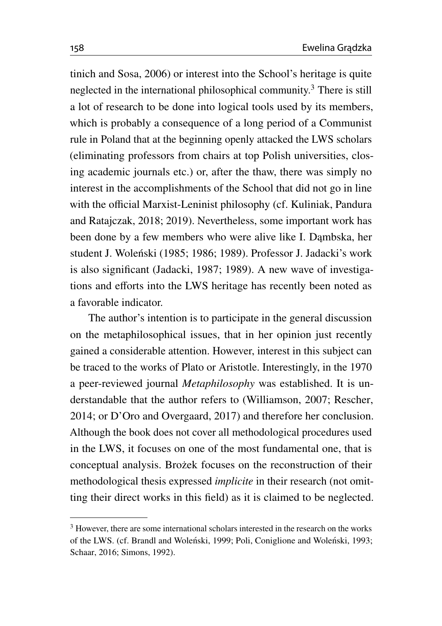tinich and Sosa, [2006\)](#page-17-4) or interest into the School's heritage is quite neglected in the international philosophical community.[3](#page-3-0) There is still a lot of research to be done into logical tools used by its members, which is probably a consequence of a long period of a Communist rule in Poland that at the beginning openly attacked the LWS scholars (eliminating professors from chairs at top Polish universities, closing academic journals etc.) or, after the thaw, there was simply no interest in the accomplishments of the School that did not go in line with the official Marxist-Leninist philosophy (cf. Kuliniak, Pandura and Ratajczak, [2018;](#page-17-5) [2019\)](#page-17-6). Nevertheless, some important work has been done by a few members who were alive like I. Dambska, her student J. Woleński ([1985;](#page-19-1) [1986;](#page-19-2) [1989\)](#page-19-0). Professor J. Jadacki's work is also significant (Jadacki, [1987;](#page-16-5) [1989\)](#page-16-6). A new wave of investigations and efforts into the LWS heritage has recently been noted as a favorable indicator.

The author's intention is to participate in the general discussion on the metaphilosophical issues, that in her opinion just recently gained a considerable attention. However, interest in this subject can be traced to the works of Plato or Aristotle. Interestingly, in the 1970 a peer-reviewed journal *Metaphilosophy* was established. It is understandable that the author refers to (Williamson, [2007;](#page-18-5) Rescher, [2014;](#page-18-6) or D'Oro and Overgaard, [2017\)](#page-16-7) and therefore her conclusion. Although the book does not cover all methodological procedures used in the LWS, it focuses on one of the most fundamental one, that is conceptual analysis. Brożek focuses on the reconstruction of their methodological thesis expressed *implicite* in their research (not omitting their direct works in this field) as it is claimed to be neglected.

<span id="page-3-0"></span><sup>&</sup>lt;sup>3</sup> However, there are some international scholars interested in the research on the works of the LWS. (cf. Brandl and Wolenski, [1999;](#page-15-1) Poli, Coniglione and Wolenski, [1993;](#page-18-3) Schaar, [2016;](#page-18-0) Simons, [1992\)](#page-18-2).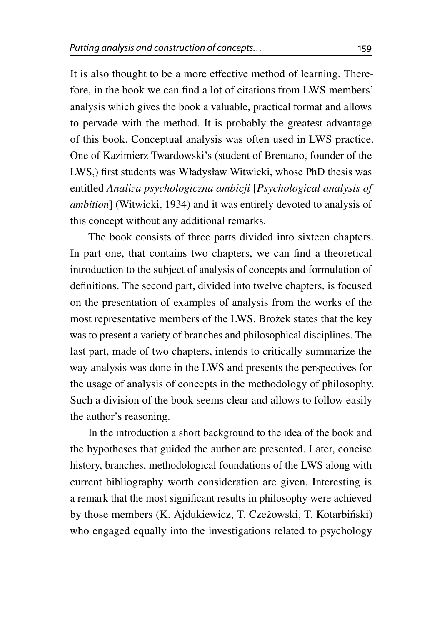It is also thought to be a more effective method of learning. Therefore, in the book we can find a lot of citations from LWS members' analysis which gives the book a valuable, practical format and allows to pervade with the method. It is probably the greatest advantage of this book. Conceptual analysis was often used in LWS practice. One of Kazimierz Twardowski's (student of Brentano, founder of the LWS,) first students was Władysław Witwicki, whose PhD thesis was entitled *Analiza psychologiczna ambicji* [*Psychological analysis of ambition*] (Witwicki, [1934\)](#page-19-3) and it was entirely devoted to analysis of this concept without any additional remarks.

The book consists of three parts divided into sixteen chapters. In part one, that contains two chapters, we can find a theoretical introduction to the subject of analysis of concepts and formulation of definitions. The second part, divided into twelve chapters, is focused on the presentation of examples of analysis from the works of the most representative members of the LWS. Brożek states that the key was to present a variety of branches and philosophical disciplines. The last part, made of two chapters, intends to critically summarize the way analysis was done in the LWS and presents the perspectives for the usage of analysis of concepts in the methodology of philosophy. Such a division of the book seems clear and allows to follow easily the author's reasoning.

In the introduction a short background to the idea of the book and the hypotheses that guided the author are presented. Later, concise history, branches, methodological foundations of the LWS along with current bibliography worth consideration are given. Interesting is a remark that the most significant results in philosophy were achieved by those members (K. Ajdukiewicz, T. Czeżowski, T. Kotarbiński) who engaged equally into the investigations related to psychology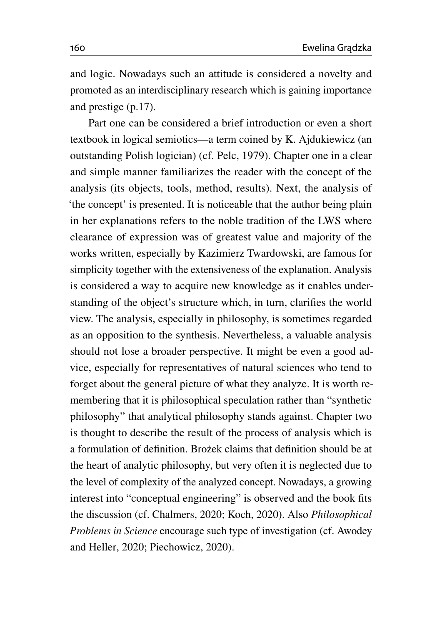and logic. Nowadays such an attitude is considered a novelty and promoted as an interdisciplinary research which is gaining importance and prestige (p.17).

Part one can be considered a brief introduction or even a short textbook in logical semiotics—a term coined by K. Ajdukiewicz (an outstanding Polish logician) (cf. Pelc, [1979\)](#page-17-7). Chapter one in a clear and simple manner familiarizes the reader with the concept of the analysis (its objects, tools, method, results). Next, the analysis of 'the concept' is presented. It is noticeable that the author being plain in her explanations refers to the noble tradition of the LWS where clearance of expression was of greatest value and majority of the works written, especially by Kazimierz Twardowski, are famous for simplicity together with the extensiveness of the explanation. Analysis is considered a way to acquire new knowledge as it enables understanding of the object's structure which, in turn, clarifies the world view. The analysis, especially in philosophy, is sometimes regarded as an opposition to the synthesis. Nevertheless, a valuable analysis should not lose a broader perspective. It might be even a good advice, especially for representatives of natural sciences who tend to forget about the general picture of what they analyze. It is worth remembering that it is philosophical speculation rather than "synthetic philosophy" that analytical philosophy stands against. Chapter two is thought to describe the result of the process of analysis which is a formulation of definition. Brożek claims that definition should be at the heart of analytic philosophy, but very often it is neglected due to the level of complexity of the analyzed concept. Nowadays, a growing interest into "conceptual engineering" is observed and the book fits the discussion (cf. Chalmers, [2020;](#page-16-8) Koch, [2020\)](#page-17-8). Also *Philosophical Problems in Science* encourage such type of investigation (cf. Awodey and Heller, [2020;](#page-15-3) Piechowicz, [2020\)](#page-18-7).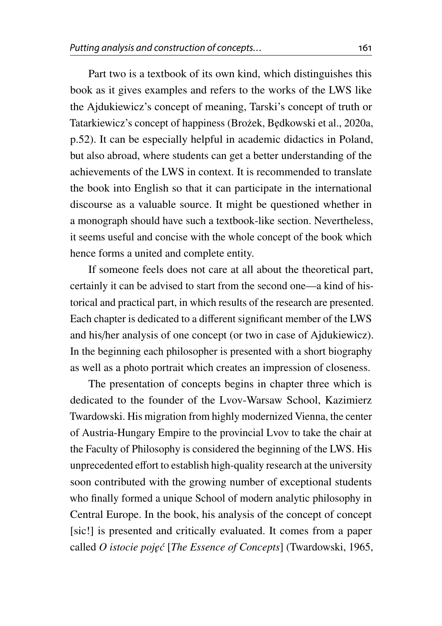Part two is a textbook of its own kind, which distinguishes this book as it gives examples and refers to the works of the LWS like the Ajdukiewicz's concept of meaning, Tarski's concept of truth or Tatarkiewicz's concept of happiness (Brożek, Będkowski et al., [2020a,](#page-15-0) p.52). It can be especially helpful in academic didactics in Poland, but also abroad, where students can get a better understanding of the achievements of the LWS in context. It is recommended to translate the book into English so that it can participate in the international discourse as a valuable source. It might be questioned whether in a monograph should have such a textbook-like section. Nevertheless, it seems useful and concise with the whole concept of the book which hence forms a united and complete entity.

If someone feels does not care at all about the theoretical part, certainly it can be advised to start from the second one—a kind of historical and practical part, in which results of the research are presented. Each chapter is dedicated to a different significant member of the LWS and his/her analysis of one concept (or two in case of Ajdukiewicz). In the beginning each philosopher is presented with a short biography as well as a photo portrait which creates an impression of closeness.

The presentation of concepts begins in chapter three which is dedicated to the founder of the Lvov-Warsaw School, Kazimierz Twardowski. His migration from highly modernized Vienna, the center of Austria-Hungary Empire to the provincial Lvov to take the chair at the Faculty of Philosophy is considered the beginning of the LWS. His unprecedented effort to establish high-quality research at the university soon contributed with the growing number of exceptional students who finally formed a unique School of modern analytic philosophy in Central Europe. In the book, his analysis of the concept of concept [sic!] is presented and critically evaluated. It comes from a paper called *O istocie poj˛e´c* [*The Essence of Concepts*] (Twardowski, [1965,](#page-18-8)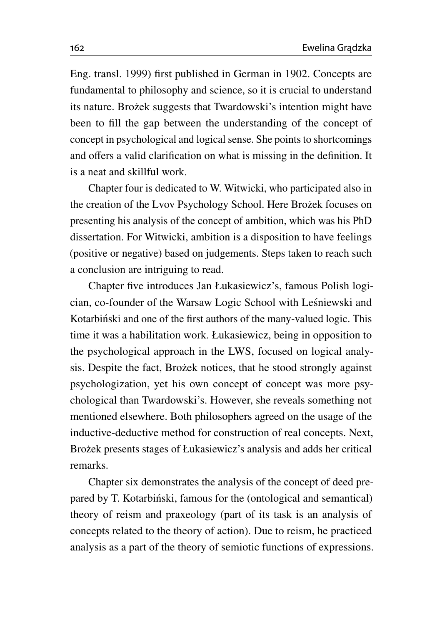Eng. transl. [1999\)](#page-18-9) first published in German in 1902. Concepts are fundamental to philosophy and science, so it is crucial to understand its nature. Brożek suggests that Twardowski's intention might have been to fill the gap between the understanding of the concept of concept in psychological and logical sense. She points to shortcomings and offers a valid clarification on what is missing in the definition. It is a neat and skillful work.

Chapter four is dedicated to W. Witwicki, who participated also in the creation of the Lvov Psychology School. Here Brożek focuses on presenting his analysis of the concept of ambition, which was his PhD dissertation. For Witwicki, ambition is a disposition to have feelings (positive or negative) based on judgements. Steps taken to reach such a conclusion are intriguing to read.

Chapter five introduces Jan Łukasiewicz's, famous Polish logician, co-founder of the Warsaw Logic School with Lesniewski and ´ Kotarbinski and one of the first authors of the many-valued logic. This time it was a habilitation work. Łukasiewicz, being in opposition to the psychological approach in the LWS, focused on logical analysis. Despite the fact, Brożek notices, that he stood strongly against psychologization, yet his own concept of concept was more psychological than Twardowski's. However, she reveals something not mentioned elsewhere. Both philosophers agreed on the usage of the inductive-deductive method for construction of real concepts. Next, Brożek presents stages of Łukasiewicz's analysis and adds her critical remarks.

Chapter six demonstrates the analysis of the concept of deed prepared by T. Kotarbiński, famous for the (ontological and semantical) theory of reism and praxeology (part of its task is an analysis of concepts related to the theory of action). Due to reism, he practiced analysis as a part of the theory of semiotic functions of expressions.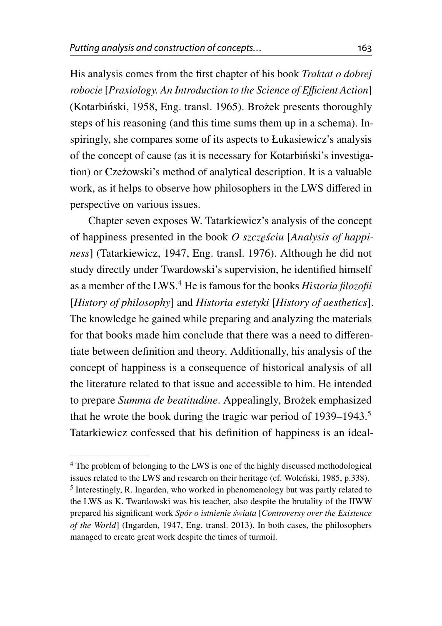His analysis comes from the first chapter of his book *Traktat o dobrej robocie* [*Praxiology. An Introduction to the Science of E*ffi*cient Action*] (Kotarbiński, [1958,](#page-17-9) Eng. transl. [1965\)](#page-17-10). Brożek presents thoroughly steps of his reasoning (and this time sums them up in a schema). Inspiringly, she compares some of its aspects to Łukasiewicz's analysis of the concept of cause (as it is necessary for Kotarbinski's investiga- ´ tion) or Czeżowski's method of analytical description. It is a valuable work, as it helps to observe how philosophers in the LWS differed in perspective on various issues.

Chapter seven exposes W. Tatarkiewicz's analysis of the concept of happiness presented in the book *O szczęściu* [*Analysis of happiness*] (Tatarkiewicz, [1947,](#page-18-10) Eng. transl. [1976\)](#page-18-11). Although he did not study directly under Twardowski's supervision, he identified himself as a member of the LWS.[4](#page-8-0) He is famous for the books *Historia filozofii* [*History of philosophy*] and *Historia estetyki* [*History of aesthetics*]. The knowledge he gained while preparing and analyzing the materials for that books made him conclude that there was a need to differentiate between definition and theory. Additionally, his analysis of the concept of happiness is a consequence of historical analysis of all the literature related to that issue and accessible to him. He intended to prepare *Summa de beatitudine*. Appealingly, Brożek emphasized that he wrote the book during the tragic war period of 1939–1943.[5](#page-8-1) Tatarkiewicz confessed that his definition of happiness is an ideal-

<span id="page-8-1"></span><span id="page-8-0"></span><sup>4</sup> The problem of belonging to the LWS is one of the highly discussed methodological issues related to the LWS and research on their heritage (cf. Wolenski, [1985,](#page-19-1) p.338). <sup>5</sup> Interestingly, R. Ingarden, who worked in phenomenology but was partly related to the LWS as K. Twardowski was his teacher, also despite the brutality of the IIWW prepared his significant work *Spór o istnienie swiata ´* [*Controversy over the Existence of the World*] (Ingarden, [1947,](#page-16-9) Eng. transl. [2013\)](#page-16-10). In both cases, the philosophers managed to create great work despite the times of turmoil.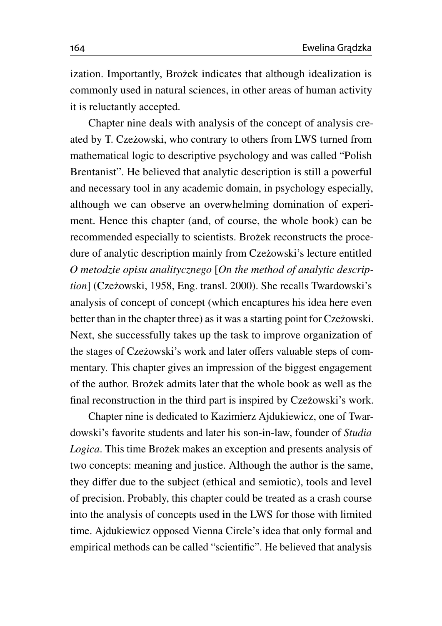ization. Importantly, Brożek indicates that although idealization is commonly used in natural sciences, in other areas of human activity it is reluctantly accepted.

Chapter nine deals with analysis of the concept of analysis created by T. Czeżowski, who contrary to others from LWS turned from mathematical logic to descriptive psychology and was called "Polish Brentanist". He believed that analytic description is still a powerful and necessary tool in any academic domain, in psychology especially, although we can observe an overwhelming domination of experiment. Hence this chapter (and, of course, the whole book) can be recommended especially to scientists. Brożek reconstructs the procedure of analytic description mainly from Czeżowski's lecture entitled *O metodzie opisu analitycznego* [*On the method of analytic description*] (Czeżowski, [1958,](#page-16-11) Eng. transl. [2000\)](#page-16-12). She recalls Twardowski's analysis of concept of concept (which encaptures his idea here even better than in the chapter three) as it was a starting point for Czeżowski. Next, she successfully takes up the task to improve organization of the stages of Czeżowski's work and later offers valuable steps of commentary. This chapter gives an impression of the biggest engagement of the author. Brożek admits later that the whole book as well as the final reconstruction in the third part is inspired by Czeżowski's work.

Chapter nine is dedicated to Kazimierz Ajdukiewicz, one of Twardowski's favorite students and later his son-in-law, founder of *Studia Logica*. This time Brożek makes an exception and presents analysis of two concepts: meaning and justice. Although the author is the same, they differ due to the subject (ethical and semiotic), tools and level of precision. Probably, this chapter could be treated as a crash course into the analysis of concepts used in the LWS for those with limited time. Ajdukiewicz opposed Vienna Circle's idea that only formal and empirical methods can be called "scientific". He believed that analysis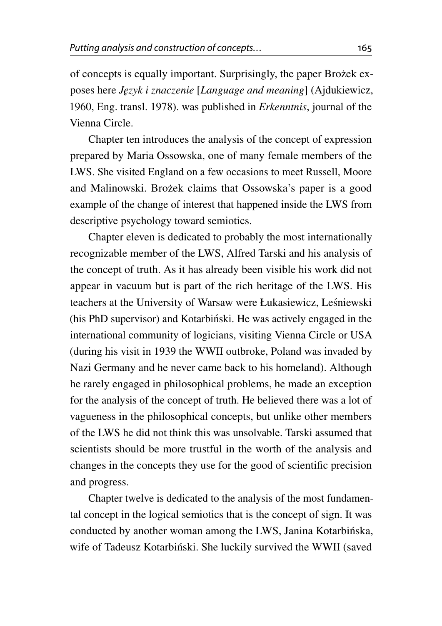of concepts is equally important. Surprisingly, the paper Brożek exposes here *J˛ezyk i znaczenie* [*Language and meaning*] (Ajdukiewicz, [1960,](#page-15-4) Eng. transl. [1978\)](#page-15-5). was published in *Erkenntnis*, journal of the Vienna Circle.

Chapter ten introduces the analysis of the concept of expression prepared by Maria Ossowska, one of many female members of the LWS. She visited England on a few occasions to meet Russell, Moore and Malinowski. Brożek claims that Ossowska's paper is a good example of the change of interest that happened inside the LWS from descriptive psychology toward semiotics.

Chapter eleven is dedicated to probably the most internationally recognizable member of the LWS, Alfred Tarski and his analysis of the concept of truth. As it has already been visible his work did not appear in vacuum but is part of the rich heritage of the LWS. His teachers at the University of Warsaw were Łukasiewicz, Lesniewski ´ (his PhD supervisor) and Kotarbinski. He was actively engaged in the international community of logicians, visiting Vienna Circle or USA (during his visit in 1939 the WWII outbroke, Poland was invaded by Nazi Germany and he never came back to his homeland). Although he rarely engaged in philosophical problems, he made an exception for the analysis of the concept of truth. He believed there was a lot of vagueness in the philosophical concepts, but unlike other members of the LWS he did not think this was unsolvable. Tarski assumed that scientists should be more trustful in the worth of the analysis and changes in the concepts they use for the good of scientific precision and progress.

Chapter twelve is dedicated to the analysis of the most fundamental concept in the logical semiotics that is the concept of sign. It was conducted by another woman among the LWS, Janina Kotarbinska, wife of Tadeusz Kotarbiński. She luckily survived the WWII (saved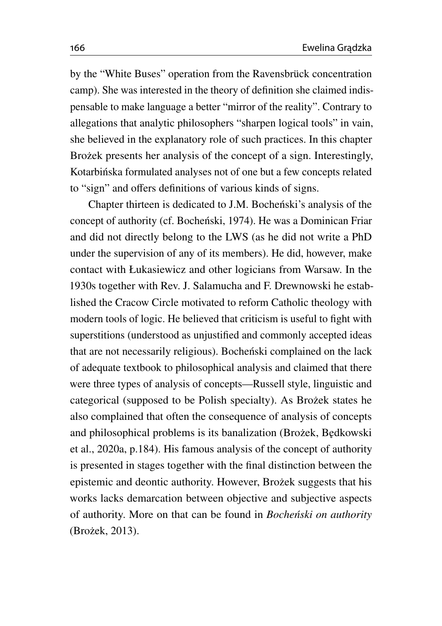by the "White Buses" operation from the Ravensbrück concentration camp). She was interested in the theory of definition she claimed indispensable to make language a better "mirror of the reality". Contrary to allegations that analytic philosophers "sharpen logical tools" in vain, she believed in the explanatory role of such practices. In this chapter Brożek presents her analysis of the concept of a sign. Interestingly, Kotarbińska formulated analyses not of one but a few concepts related to "sign" and offers definitions of various kinds of signs.

Chapter thirteen is dedicated to J.M. Bochenski's analysis of the concept of authority (cf. Bocheński, [1974\)](#page-15-6). He was a Dominican Friar and did not directly belong to the LWS (as he did not write a PhD under the supervision of any of its members). He did, however, make contact with Łukasiewicz and other logicians from Warsaw. In the 1930s together with Rev. J. Salamucha and F. Drewnowski he established the Cracow Circle motivated to reform Catholic theology with modern tools of logic. He believed that criticism is useful to fight with superstitions (understood as unjustified and commonly accepted ideas that are not necessarily religious). Bochenski complained on the lack of adequate textbook to philosophical analysis and claimed that there were three types of analysis of concepts—Russell style, linguistic and categorical (supposed to be Polish specialty). As Brożek states he also complained that often the consequence of analysis of concepts and philosophical problems is its banalization (Brożek, Będkowski et al., [2020a,](#page-15-0) p.184). His famous analysis of the concept of authority is presented in stages together with the final distinction between the epistemic and deontic authority. However, Brożek suggests that his works lacks demarcation between objective and subjective aspects of authority. More on that can be found in *Bocheński on authority* (Brożek, [2013\)](#page-15-7).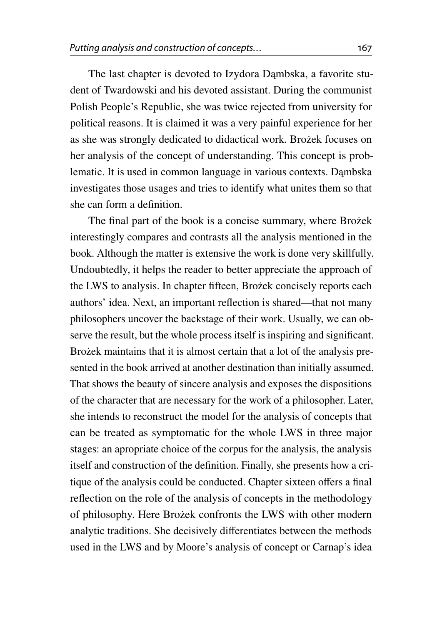The last chapter is devoted to Izydora Dambska, a favorite student of Twardowski and his devoted assistant. During the communist Polish People's Republic, she was twice rejected from university for political reasons. It is claimed it was a very painful experience for her as she was strongly dedicated to didactical work. Brożek focuses on her analysis of the concept of understanding. This concept is problematic. It is used in common language in various contexts. Dambska investigates those usages and tries to identify what unites them so that she can form a definition.

The final part of the book is a concise summary, where Brozek interestingly compares and contrasts all the analysis mentioned in the book. Although the matter is extensive the work is done very skillfully. Undoubtedly, it helps the reader to better appreciate the approach of the LWS to analysis. In chapter fifteen, Brożek concisely reports each authors' idea. Next, an important reflection is shared—that not many philosophers uncover the backstage of their work. Usually, we can observe the result, but the whole process itself is inspiring and significant. Brożek maintains that it is almost certain that a lot of the analysis presented in the book arrived at another destination than initially assumed. That shows the beauty of sincere analysis and exposes the dispositions of the character that are necessary for the work of a philosopher. Later, she intends to reconstruct the model for the analysis of concepts that can be treated as symptomatic for the whole LWS in three major stages: an apropriate choice of the corpus for the analysis, the analysis itself and construction of the definition. Finally, she presents how a critique of the analysis could be conducted. Chapter sixteen offers a final reflection on the role of the analysis of concepts in the methodology of philosophy. Here Bro˙zek confronts the LWS with other modern analytic traditions. She decisively differentiates between the methods used in the LWS and by Moore's analysis of concept or Carnap's idea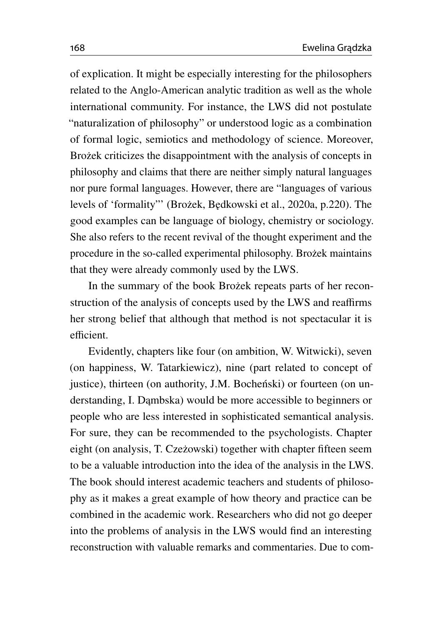of explication. It might be especially interesting for the philosophers related to the Anglo-American analytic tradition as well as the whole international community. For instance, the LWS did not postulate "naturalization of philosophy" or understood logic as a combination of formal logic, semiotics and methodology of science. Moreover, Brożek criticizes the disappointment with the analysis of concepts in philosophy and claims that there are neither simply natural languages nor pure formal languages. However, there are "languages of various levels of 'formality''' (Brożek, Będkowski et al., [2020a,](#page-15-0) p.220). The good examples can be language of biology, chemistry or sociology. She also refers to the recent revival of the thought experiment and the procedure in the so-called experimental philosophy. Brożek maintains that they were already commonly used by the LWS.

In the summary of the book Brożek repeats parts of her reconstruction of the analysis of concepts used by the LWS and reaffirms her strong belief that although that method is not spectacular it is efficient.

Evidently, chapters like four (on ambition, W. Witwicki), seven (on happiness, W. Tatarkiewicz), nine (part related to concept of justice), thirteen (on authority, J.M. Bocheński) or fourteen (on understanding, I. Dambska) would be more accessible to beginners or people who are less interested in sophisticated semantical analysis. For sure, they can be recommended to the psychologists. Chapter eight (on analysis, T. Czeżowski) together with chapter fifteen seem to be a valuable introduction into the idea of the analysis in the LWS. The book should interest academic teachers and students of philosophy as it makes a great example of how theory and practice can be combined in the academic work. Researchers who did not go deeper into the problems of analysis in the LWS would find an interesting reconstruction with valuable remarks and commentaries. Due to com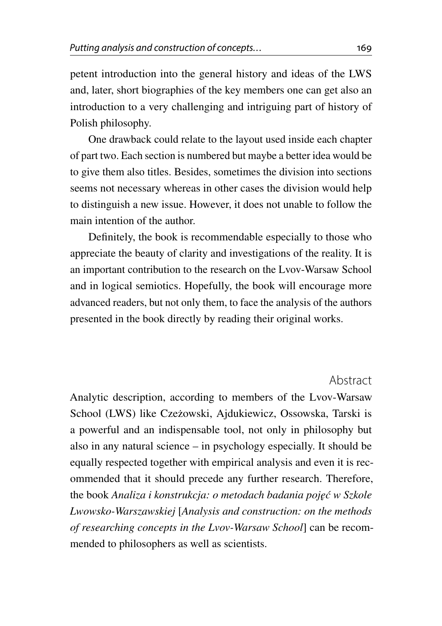petent introduction into the general history and ideas of the LWS and, later, short biographies of the key members one can get also an introduction to a very challenging and intriguing part of history of Polish philosophy.

One drawback could relate to the layout used inside each chapter of part two. Each section is numbered but maybe a better idea would be to give them also titles. Besides, sometimes the division into sections seems not necessary whereas in other cases the division would help to distinguish a new issue. However, it does not unable to follow the main intention of the author.

Definitely, the book is recommendable especially to those who appreciate the beauty of clarity and investigations of the reality. It is an important contribution to the research on the Lvov-Warsaw School and in logical semiotics. Hopefully, the book will encourage more advanced readers, but not only them, to face the analysis of the authors presented in the book directly by reading their original works.

Abstract

Analytic description, according to members of the Lvov-Warsaw School (LWS) like Czeżowski, Ajdukiewicz, Ossowska, Tarski is a powerful and an indispensable tool, not only in philosophy but also in any natural science – in psychology especially. It should be equally respected together with empirical analysis and even it is recommended that it should precede any further research. Therefore, the book *Analiza i konstrukcja: o metodach badania poj˛e´c w Szkole Lwowsko-Warszawskiej* [*Analysis and construction: on the methods of researching concepts in the Lvov-Warsaw School*] can be recommended to philosophers as well as scientists.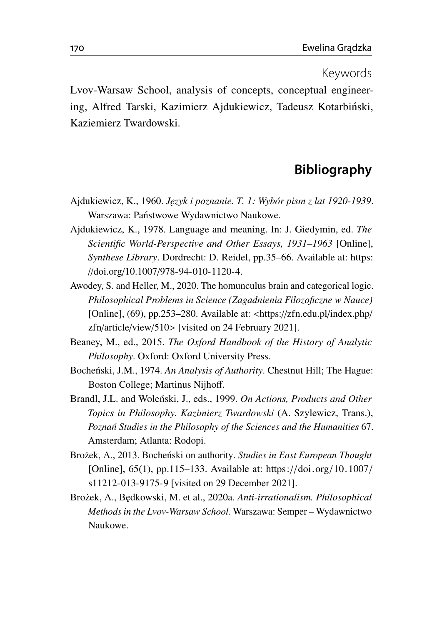## Keywords

Lvov-Warsaw School, analysis of concepts, conceptual engineering, Alfred Tarski, Kazimierz Ajdukiewicz, Tadeusz Kotarbiński, Kaziemierz Twardowski.

## **Bibliography**

- <span id="page-15-4"></span>Ajdukiewicz, K., 1960. *J˛ezyk i poznanie. T. 1: Wybór pism z lat 1920-1939*. Warszawa: Państwowe Wydawnictwo Naukowe.
- <span id="page-15-5"></span>Ajdukiewicz, K., 1978. Language and meaning. In: J. Giedymin, ed. *The Scientific World-Perspective and Other Essays, 1931–1963* [Online], *Synthese Library*. Dordrecht: D. Reidel, pp.35–66. Available at: [https:](https://doi.org/10.1007/978-94-010-1120-4) //doi.org/10.1007/[978-94-010-1120-4.](https://doi.org/10.1007/978-94-010-1120-4)
- <span id="page-15-3"></span>Awodey, S. and Heller, M., 2020. The homunculus brain and categorical logic. *Philosophical Problems in Science (Zagadnienia Filozoficzne w Nauce)* [Online], (69), pp.253–280. Available at: <https://[zfn.edu.pl](https://zfn.edu.pl/index.php/zfn/article/view/510)/index.php/ zfn/[article](https://zfn.edu.pl/index.php/zfn/article/view/510)/view/510> [visited on 24 February 2021].
- <span id="page-15-2"></span>Beaney, M., ed., 2015. *The Oxford Handbook of the History of Analytic Philosophy*. Oxford: Oxford University Press.
- <span id="page-15-6"></span>Bocheński, J.M., 1974. An Analysis of Authority. Chestnut Hill; The Hague: Boston College; Martinus Nijhoff.
- <span id="page-15-1"></span>Brandl, J.L. and Wolenski, J., eds., 1999. On Actions, Products and Other *Topics in Philosophy. Kazimierz Twardowski* (A. Szylewicz, Trans.), *Pozna´n Studies in the Philosophy of the Sciences and the Humanities* 67. Amsterdam; Atlanta: Rodopi.
- <span id="page-15-7"></span>Brożek, A., 2013. Bocheński on authority. *Studies in East European Thought* [Online], 65(1), pp.115–133. Available at: https://doi.org/[10.1007](https://doi.org/10.1007/s11212-013-9175-9)/ [s11212-013-9175-9](https://doi.org/10.1007/s11212-013-9175-9) [visited on 29 December 2021].
- <span id="page-15-0"></span>Bro˙zek, A., B˛edkowski, M. et al., 2020a. *Anti-irrationalism. Philosophical Methods in the Lvov-Warsaw School*. Warszawa: Semper – Wydawnictwo Naukowe.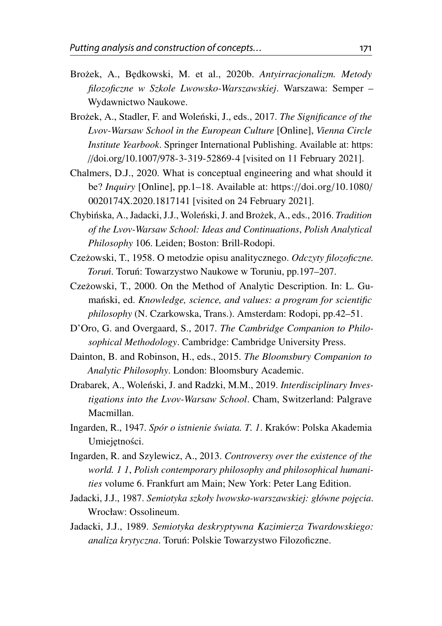- <span id="page-16-0"></span>Bro˙zek, A., B˛edkowski, M. et al., 2020b. *Antyirracjonalizm. Metody filozoficzne w Szkole Lwowsko-Warszawskiej*. Warszawa: Semper – Wydawnictwo Naukowe.
- <span id="page-16-2"></span>Brożek, A., Stadler, F. and Woleński, J., eds., 2017. *The Significance of the Lvov-Warsaw School in the European Culture* [Online], *Vienna Circle Institute Yearbook*. Springer International Publishing. Available at: [https:](https://doi.org/10.1007/978-3-319-52869-4) //doi.org/10.1007/[978-3-319-52869-4](https://doi.org/10.1007/978-3-319-52869-4) [visited on 11 February 2021].
- <span id="page-16-8"></span>Chalmers, D.J., 2020. What is conceptual engineering and what should it be? *Inquiry* [Online], pp.1–18. Available at: https://doi.org/[10.1080](https://doi.org/10.1080/0020174X.2020.1817141)/ [0020174X.2020.1817141](https://doi.org/10.1080/0020174X.2020.1817141) [visited on 24 February 2021].
- <span id="page-16-3"></span>Chybińska, A., Jadacki, J.J., Woleński, J. and Brożek, A., eds., 2016. *Tradition of the Lvov-Warsaw School: Ideas and Continuations*, *Polish Analytical Philosophy* 106. Leiden; Boston: Brill-Rodopi.
- <span id="page-16-11"></span>Cze˙zowski, T., 1958. O metodzie opisu analitycznego. *Odczyty filozoficzne. Toruń*. Toruń: Towarzystwo Naukowe w Toruniu, pp.197–207.
- <span id="page-16-12"></span>Czeżowski, T., 2000. On the Method of Analytic Description. In: L. Gumański, ed. *Knowledge, science, and values: a program for scientific philosophy* (N. Czarkowska, Trans.). Amsterdam: Rodopi, pp.42–51.
- <span id="page-16-7"></span>D'Oro, G. and Overgaard, S., 2017. *The Cambridge Companion to Philosophical Methodology*. Cambridge: Cambridge University Press.
- <span id="page-16-4"></span>Dainton, B. and Robinson, H., eds., 2015. *The Bloomsbury Companion to Analytic Philosophy*. London: Bloomsbury Academic.
- <span id="page-16-1"></span>Drabarek, A., Woleński, J. and Radzki, M.M., 2019. *Interdisciplinary Investigations into the Lvov-Warsaw School*. Cham, Switzerland: Palgrave Macmillan.
- <span id="page-16-9"></span>Ingarden, R., 1947. *Spór o istnienie swiata. T. 1 ´* . Kraków: Polska Akademia Umiejetności.
- <span id="page-16-10"></span>Ingarden, R. and Szylewicz, A., 2013. *Controversy over the existence of the world. 1 1*, *Polish contemporary philosophy and philosophical humanities* volume 6. Frankfurt am Main; New York: Peter Lang Edition.
- <span id="page-16-5"></span>Jadacki, J.J., 1987. *Semiotyka szkoły lwowsko-warszawskiej: główne poj˛ecia*. Wrocław: Ossolineum.
- <span id="page-16-6"></span>Jadacki, J.J., 1989. *Semiotyka deskryptywna Kazimierza Twardowskiego: analiza krytyczna*. Toruń: Polskie Towarzystwo Filozoficzne.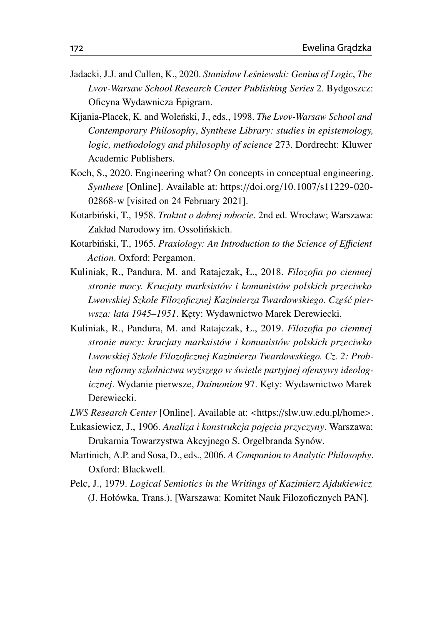- <span id="page-17-0"></span>Jadacki, J.J. and Cullen, K., 2020. *Stanisław Lesniewski: Genius of Logic ´* , *The Lvov-Warsaw School Research Center Publishing Series* 2. Bydgoszcz: Oficyna Wydawnicza Epigram.
- <span id="page-17-2"></span>Kijania-Placek, K. and Woleński, J., eds., 1998. *The Lvov-Warsaw School and Contemporary Philosophy*, *Synthese Library: studies in epistemology, logic, methodology and philosophy of science* 273. Dordrecht: Kluwer Academic Publishers.
- <span id="page-17-8"></span>Koch, S., 2020. Engineering what? On concepts in conceptual engineering. *Synthese* [Online]. Available at: https://doi.org/10.1007/[s11229-020-](https://doi.org/10.1007/s11229-020-02868-w) [02868-w](https://doi.org/10.1007/s11229-020-02868-w) [visited on 24 February 2021].
- <span id="page-17-9"></span>Kotarbiński, T., 1958. *Traktat o dobrej robocie*. 2nd ed. Wrocław; Warszawa: Zakład Narodowy im. Ossolińskich.
- <span id="page-17-10"></span>Kotarbiński, T., 1965. Praxiology: An Introduction to the Science of Efficient *Action*. Oxford: Pergamon.
- <span id="page-17-5"></span>Kuliniak, R., Pandura, M. and Ratajczak, Ł., 2018. *Filozofia po ciemnej stronie mocy. Krucjaty marksistów i komunistów polskich przeciwko Lwowskiej Szkole Filozoficznej Kazimierza Twardowskiego. Cz˛es´c pier- ´ wsza: lata 1945–1951*. K˛ety: Wydawnictwo Marek Derewiecki.
- <span id="page-17-6"></span>Kuliniak, R., Pandura, M. and Ratajczak, Ł., 2019. *Filozofia po ciemnej stronie mocy: krucjaty marksistów i komunistów polskich przeciwko Lwowskiej Szkole Filozoficznej Kazimierza Twardowskiego. Cz. 2: Problem reformy szkolnictwa wy˙zszego w swietle partyjnej ofensywy ideolog- ´ icznej*. Wydanie pierwsze, *Daimonion* 97. K˛ety: Wydawnictwo Marek Derewiecki.
- <span id="page-17-1"></span>*LWS Research Center* [Online]. Available at: <https://[slw.uw.edu.pl](https://slw.uw.edu.pl/home)/home>.
- <span id="page-17-3"></span>Łukasiewicz, J., 1906. *Analiza i konstrukcja poj˛ecia przyczyny*. Warszawa: Drukarnia Towarzystwa Akcyjnego S. Orgelbranda Synów.
- <span id="page-17-4"></span>Martinich, A.P. and Sosa, D., eds., 2006. *A Companion to Analytic Philosophy*. Oxford: Blackwell.
- <span id="page-17-7"></span>Pelc, J., 1979. *Logical Semiotics in the Writings of Kazimierz Ajdukiewicz* (J. Hołówka, Trans.). [Warszawa: Komitet Nauk Filozoficznych PAN].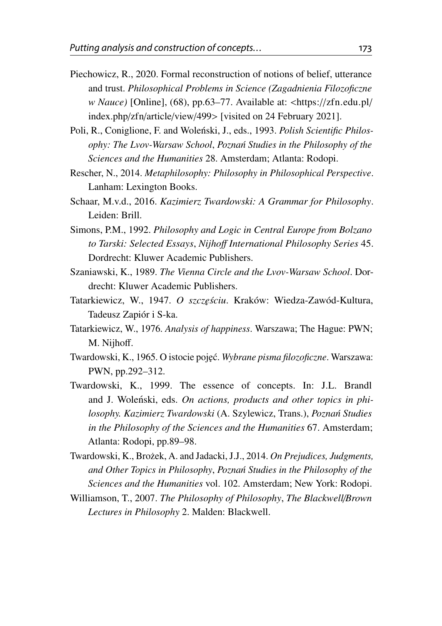- <span id="page-18-7"></span>Piechowicz, R., 2020. Formal reconstruction of notions of belief, utterance and trust. *Philosophical Problems in Science (Zagadnienia Filozoficzne w Nauce)* [Online], (68), pp.63–77. Available at: <https://[zfn.edu.pl](https://zfn.edu.pl/index.php/zfn/article/view/499)/ [index.php](https://zfn.edu.pl/index.php/zfn/article/view/499)/zfn/article/view/499> [visited on 24 February 2021].
- <span id="page-18-3"></span>Poli, R., Coniglione, F. and Woleński, J., eds., 1993. *Polish Scientific Philosophy: The Lvov-Warsaw School*, *Pozna´n Studies in the Philosophy of the Sciences and the Humanities* 28. Amsterdam; Atlanta: Rodopi.
- <span id="page-18-6"></span>Rescher, N., 2014. *Metaphilosophy: Philosophy in Philosophical Perspective*. Lanham: Lexington Books.
- <span id="page-18-0"></span>Schaar, M.v.d., 2016. *Kazimierz Twardowski: A Grammar for Philosophy*. Leiden: Brill.
- <span id="page-18-2"></span>Simons, P.M., 1992. *Philosophy and Logic in Central Europe from Bolzano to Tarski: Selected Essays*, *Nijho*ff *International Philosophy Series* 45. Dordrecht: Kluwer Academic Publishers.
- <span id="page-18-4"></span>Szaniawski, K., 1989. *The Vienna Circle and the Lvov-Warsaw School*. Dordrecht: Kluwer Academic Publishers.
- <span id="page-18-10"></span>Tatarkiewicz, W., 1947. O szczęściu. Kraków: Wiedza-Zawód-Kultura, Tadeusz Zapiór i S-ka.
- <span id="page-18-11"></span>Tatarkiewicz, W., 1976. *Analysis of happiness*. Warszawa; The Hague: PWN; M. Nijhoff.
- <span id="page-18-8"></span>Twardowski, K., 1965. O istocie poj˛ec.´ *Wybrane pisma filozoficzne*. Warszawa: PWN, pp.292–312.
- <span id="page-18-9"></span>Twardowski, K., 1999. The essence of concepts. In: J.L. Brandl and J. Woleński, eds. On actions, products and other topics in phi*losophy. Kazimierz Twardowski* (A. Szylewicz, Trans.), *Pozna´n Studies in the Philosophy of the Sciences and the Humanities* 67. Amsterdam; Atlanta: Rodopi, pp.89–98.
- <span id="page-18-1"></span>Twardowski, K., Bro˙zek, A. and Jadacki, J.J., 2014. *On Prejudices, Judgments, and Other Topics in Philosophy*, *Pozna´n Studies in the Philosophy of the Sciences and the Humanities* vol. 102. Amsterdam; New York: Rodopi.
- <span id="page-18-5"></span>Williamson, T., 2007. *The Philosophy of Philosophy*, *The Blackwell*/*Brown Lectures in Philosophy* 2. Malden: Blackwell.